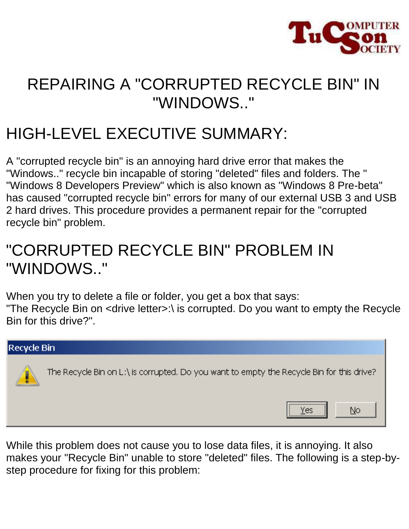

# REPAIRING A "CORRUPTED RECYCLE BIN" IN "WINDOWS.."

# HIGH-LEVEL EXECUTIVE SUMMARY:

A "corrupted recycle bin" is an annoying hard drive error that makes the "Windows.." recycle bin incapable of storing "deleted" files and folders. The " "Windows 8 Developers Preview" which is also known as "Windows 8 Pre-beta" has caused "corrupted recycle bin" errors for many of our external USB 3 and USB 2 hard drives. This procedure provides a permanent repair for the "corrupted recycle bin" problem.

# "CORRUPTED RECYCLE BIN" PROBLEM IN "WINDOWS.."

When you try to delete a file or folder, you get a box that says: "The Recycle Bin on <drive letter>:\ is corrupted. Do you want to empty the Recycle Bin for this drive?".



While this problem does not cause you to lose data files, it is annoying. It also makes your "Recycle Bin" unable to store "deleted" files. The following is a step-bystep procedure for fixing for this problem: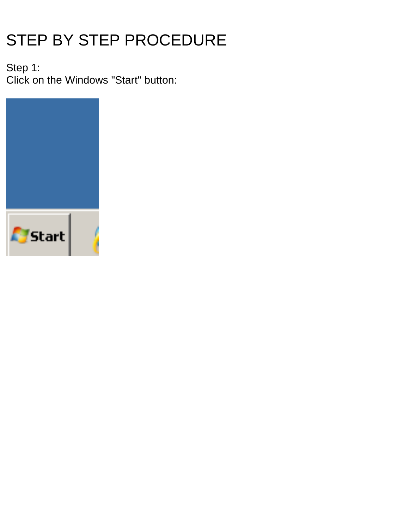# STEP BY STEP PROCEDURE

Step 1: Click on the Windows "Start" button:

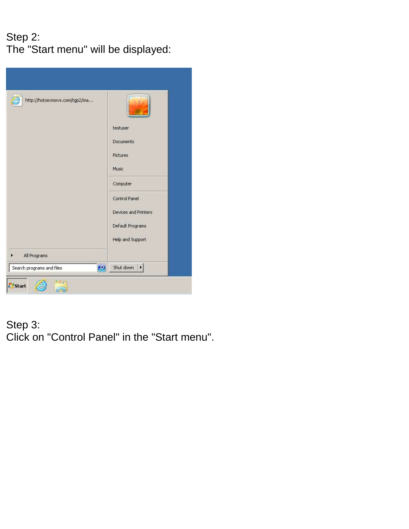# Step 2: The "Start menu" will be displayed:

| http://hotsexmovs.com/tgp2/ma   | testuser<br>Documents<br>Pictures<br>Music<br>Computer<br>Control Panel<br>Devices and Printers<br>Default Programs<br>Help and Support |
|---------------------------------|-----------------------------------------------------------------------------------------------------------------------------------------|
| All Programs                    |                                                                                                                                         |
| 9 <br>Search programs and files | Shut down<br>Þ.                                                                                                                         |
| Start                           |                                                                                                                                         |

#### Step 3: Click on "Control Panel" in the "Start menu".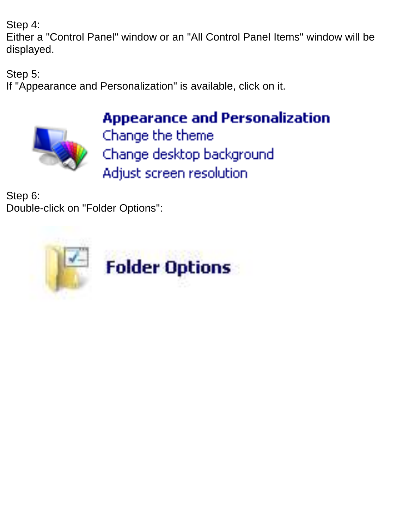Step 4:

Either a "Control Panel" window or an "All Control Panel Items" window will be displayed.

Step 5:

If "Appearance and Personalization" is available, click on it.



**Appearance and Personalization** 

Change the theme Change desktop background Adjust screen resolution

Step 6: Double-click on "Folder Options":

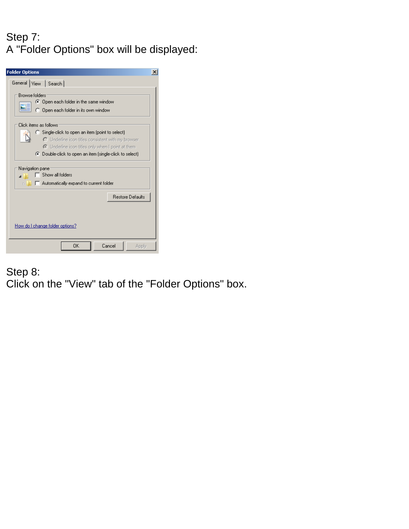## Step 7: A "Folder Options" box will be displayed:

| <b>Folder Options</b>                                                                                                                                                                                                                                                                                                                      |
|--------------------------------------------------------------------------------------------------------------------------------------------------------------------------------------------------------------------------------------------------------------------------------------------------------------------------------------------|
| General View   Search                                                                                                                                                                                                                                                                                                                      |
| <b>Browse folders</b><br>C Open each folder in the same window<br>C Open each folder in its own window                                                                                                                                                                                                                                     |
| Click items as follows<br>C Single-click to open an item (point to select)<br>O Underline icon titles consistent with my browser<br>C Underline icon titles only when I point at them<br>◯ Double-click to open an item [single-click to select]<br>Navigation pane<br>Show all folders<br>Automatically expand to current folder<br>D. L. |
| <b>Restore Defaults</b>                                                                                                                                                                                                                                                                                                                    |
| How do I change folder options?                                                                                                                                                                                                                                                                                                            |
| OK<br>Cancel<br>Apply                                                                                                                                                                                                                                                                                                                      |

#### Step 8: Click on the "View" tab of the "Folder Options" box.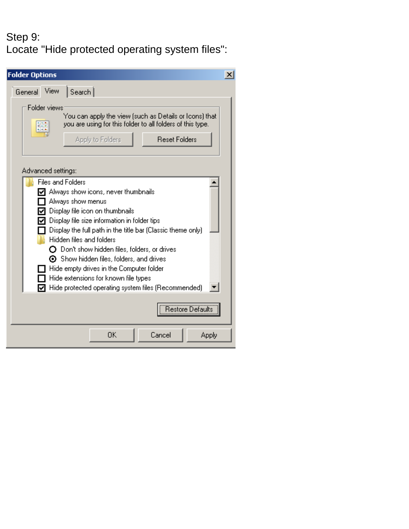#### Step 9: Locate "Hide protected operating system files":

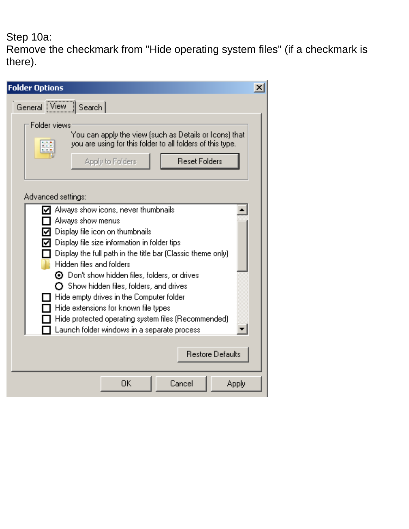# Step 10a:

Remove the checkmark from "Hide operating system files" (if a checkmark is there).

| <b>Folder Options</b>                                                                                                                                                                                                                                                                                                                                                                                                                                                                                                                          | $\vert x \vert$ |
|------------------------------------------------------------------------------------------------------------------------------------------------------------------------------------------------------------------------------------------------------------------------------------------------------------------------------------------------------------------------------------------------------------------------------------------------------------------------------------------------------------------------------------------------|-----------------|
| General View  <br>Search                                                                                                                                                                                                                                                                                                                                                                                                                                                                                                                       |                 |
| Folder views<br>You can apply the view (such as Details or Icons) that<br>you are using for this folder to all folders of this type.<br><b>MINT N</b><br><b>B</b> R R<br><b>Reset Folders</b><br>Apply to Folders                                                                                                                                                                                                                                                                                                                              |                 |
| Advanced settings:                                                                                                                                                                                                                                                                                                                                                                                                                                                                                                                             |                 |
| Always show icons, never thumbnails<br>Always show menus<br>Display file icon on thumbnails<br>Display file size information in folder tips<br>Display the full path in the title bar (Classic theme only)<br>Hidden files and folders<br>$\odot$ Don't show hidden files, folders, or drives<br>$\mathbf O$ Show hidden files, folders, and drives<br>Hide empty drives in the Computer folder<br>Hide extensions for known file types<br>Hide protected operating system files (Recommended).<br>Launch folder windows in a separate process |                 |
| <b>Restore Defaults</b>                                                                                                                                                                                                                                                                                                                                                                                                                                                                                                                        |                 |
| 0K<br>Cancel<br>Apply                                                                                                                                                                                                                                                                                                                                                                                                                                                                                                                          |                 |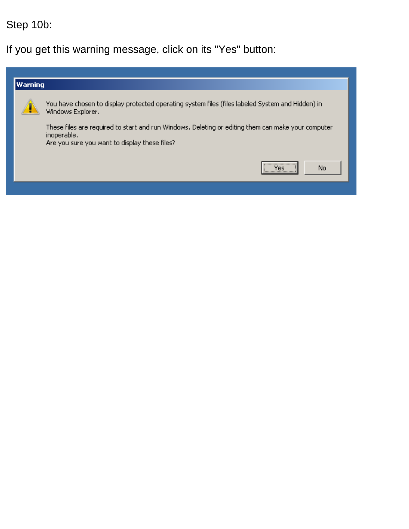# Step 10b:

If you get this warning message, click on its "Yes" button:

| Warning |                                                                                                                                                                    |  |  |
|---------|--------------------------------------------------------------------------------------------------------------------------------------------------------------------|--|--|
|         | You have chosen to display protected operating system files (files labeled System and Hidden) in<br>Windows Explorer.                                              |  |  |
|         | These files are required to start and run Windows. Deleting or editing them can make your computer<br>inoperable.<br>Are you sure you want to display these files? |  |  |
|         | <br>No<br>Yes                                                                                                                                                      |  |  |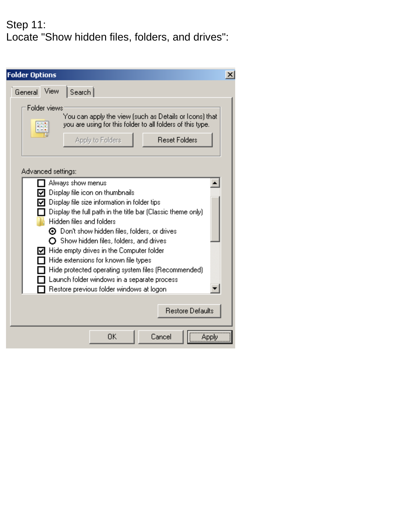#### Step 11: Locate "Show hidden files, folders, and drives":

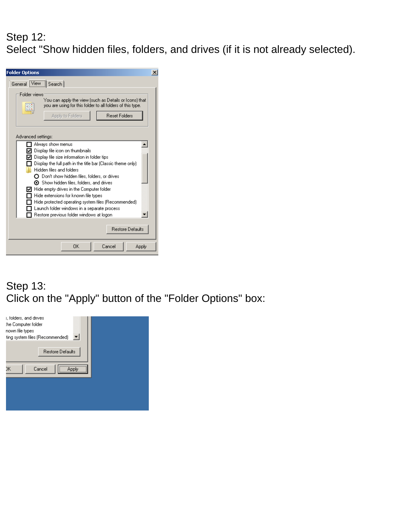#### Step 12: Select "Show hidden files, folders, and drives (if it is not already selected).

| <b>Folder Options</b><br>×                                                                                                                                                                                                                                                                                                                                                                                                                                                                                                                                                                          |
|-----------------------------------------------------------------------------------------------------------------------------------------------------------------------------------------------------------------------------------------------------------------------------------------------------------------------------------------------------------------------------------------------------------------------------------------------------------------------------------------------------------------------------------------------------------------------------------------------------|
| General View Search                                                                                                                                                                                                                                                                                                                                                                                                                                                                                                                                                                                 |
| Folder views<br>You can apply the view (such as Details or Icons) that<br>you are using for this folder to all folders of this type.<br>61414<br>Apply to Folders<br><b>Beset Folders</b>                                                                                                                                                                                                                                                                                                                                                                                                           |
| Advanced settings:                                                                                                                                                                                                                                                                                                                                                                                                                                                                                                                                                                                  |
| Always show menus<br>Display file icon on thumbnails<br>○ Display file size information in folder tips<br>Display the full path in the title bar (Classic theme only)<br>Hidden files and folders<br>◯ Don't show hidden files, folders, or drives<br>$\boldsymbol{\Theta}$ Show hidden files, folders, and drives<br>$\nabla\hspace{-.15cm}\eta\hspace{.15cm}$ Hide empty drives in the Computer folder<br>Hide extensions for known file types<br>Hide protected operating system files (Recommended).<br>Launch folder windows in a separate process<br>Restore previous folder windows at logon |
| <b>Restore Defaults</b>                                                                                                                                                                                                                                                                                                                                                                                                                                                                                                                                                                             |
| Cancel<br>OK<br>Apply                                                                                                                                                                                                                                                                                                                                                                                                                                                                                                                                                                               |

#### Step 13: Click on the "Apply" button of the "Folder Options" box:

| s, folders, and drives<br>the Computer folder<br>nown file types<br>▾<br>ting system files (Recommended) |  |
|----------------------------------------------------------------------------------------------------------|--|
| <b>Restore Defaults</b><br>Cancel<br>ЭK                                                                  |  |
|                                                                                                          |  |
|                                                                                                          |  |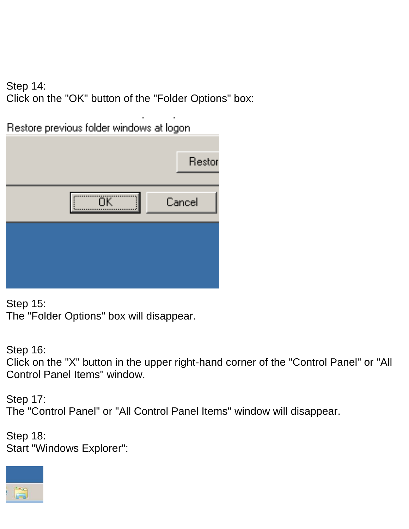Step 14: Click on the "OK" button of the "Folder Options" box:

Restore previous folder windows at logon.



Step 15: The "Folder Options" box will disappear.

Step 16: Click on the "X" button in the upper right-hand corner of the "Control Panel" or "All Control Panel Items" window.

Step 17: The "Control Panel" or "All Control Panel Items" window will disappear.

Step 18: Start "Windows Explorer":

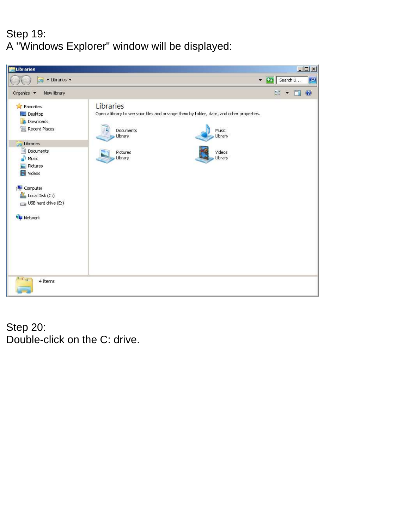## Step 19: A "Windows Explorer" window will be displayed:



Step 20: Double-click on the C: drive.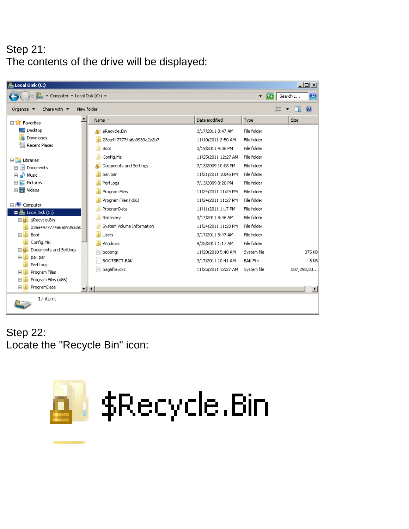#### Step 21: The contents of the drive will be displayed:

| Local Disk (C:)                                                                                    |                           |                     |                 | $-10X$                |
|----------------------------------------------------------------------------------------------------|---------------------------|---------------------|-----------------|-----------------------|
| ▼ Computer ▼ Local Disk (C:) ▼<br>$\mathcal{L}_{\mathcal{T}}$<br>$  \mathbf{Q}  $<br>Search L<br>▼ |                           |                     |                 |                       |
| New folder<br>Share with $\blacktriangledown$<br>Organize $\blacktriangledown$                     |                           |                     | 睚               |                       |
| ۰<br><b>ED</b> Favorites                                                                           | Name +                    | Date modified       | Type            | <b>Size</b>           |
| Desktop                                                                                            | \$Recycle.Bin<br>д        | 3/17/2011 8:47 AM   | File folder     |                       |
| Downloads                                                                                          | 23ea4477774a6a0939a2e2b7  | 11/10/2011 2:50 AM  | File folder     |                       |
| Ŧ<br>Recent Places                                                                                 | Boot                      | 3/19/2011 4:06 PM   | File folder     |                       |
| □ Libraries                                                                                        | Config.Msi                | 11/25/2011 12:27 AM | File folder     |                       |
| Documents<br>$\overline{+}$                                                                        | Documents and Settings    | 7/13/2009 10:08 PM  | File folder     |                       |
| Music<br>$\overline{+}$                                                                            | par.par                   | 11/21/2011 10:45 PM | File folder     |                       |
| <b>E</b> Pictures                                                                                  | PerfLoas                  | 7/13/2009 8:20 PM   | File folder     |                       |
| 田 <mark>+</mark> Videos                                                                            | Program Files             | 11/24/2011 11:24 PM | File folder     |                       |
| □ <sup>1</sup> Computer                                                                            | Program Files (x86)       | 11/24/2011 11:27 PM | File folder     |                       |
| $\mathbf{z}$ Local Disk (C:)<br>п                                                                  | ProgramData               | 11/11/2011 1:17 PM  | File folder     |                       |
| \$Recycle.Bin<br>日本                                                                                | Recovery                  | 3/17/2011 8:46 AM   | File folder     |                       |
| 23ea4477774a6a0939a2e)                                                                             | System Volume Information | 11/24/2011 11:28 PM | File folder     |                       |
| Boot<br>$\overline{+}$                                                                             | <b>Users</b>              | 3/17/2011 8:47 AM   | File folder     |                       |
| Config.Msi                                                                                         | Windows                   | 9/25/2011 1:17 AM   | File folder     |                       |
| Documents and Settings<br>田島                                                                       | bootmar                   | 11/20/2010 5:40 AM  | System file     | 375 KB                |
| $\overline{+}$<br>par.par<br>PerfLogs                                                              | BOOTSECT.BAK              | 3/17/2011 10:41 AM  | <b>BAK File</b> | 8KB                   |
| Program Files<br>$\overline{+}$                                                                    | pagefile.sys              | 11/25/2011 12:27 AM | System file     | 307,298,30            |
| Program Files (x86)<br>曱                                                                           |                           |                     |                 |                       |
| ProgramData<br>$\overline{+}$<br>≖F∢l                                                              |                           |                     |                 | $\blacktriangleright$ |
| 17 items                                                                                           |                           |                     |                 |                       |

Step 22: Locate the "Recycle Bin" icon:

ا ا

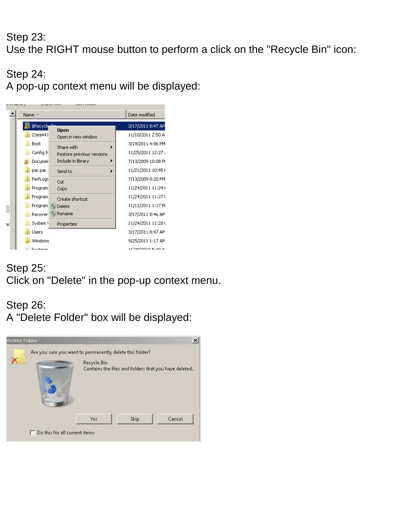#### Step 23: Use the RIGHT mouse button to perform a click on the "Recycle Bin" icon:

Step 24: A pop-up context menu will be displayed:



#### Step 25: Click on "Delete" in the pop-up context menu.

#### Step 26: A "Delete Folder" box will be displayed:

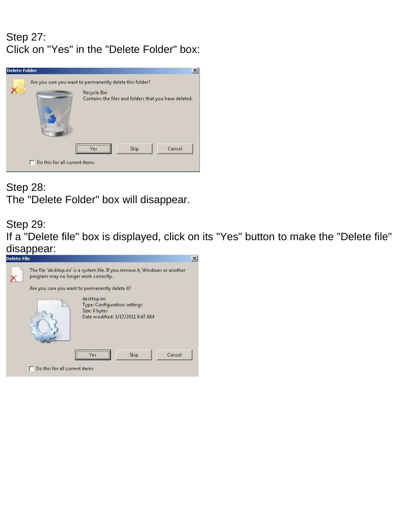#### Step 27: Click on "Yes" in the "Delete Folder" box:



Step 28: The "Delete Folder" box will disappear.

#### Step 29:

If a "Delete file" box is displayed, click on its "Yes" button to make the "Delete file" disappear:<br>**Delete File** 

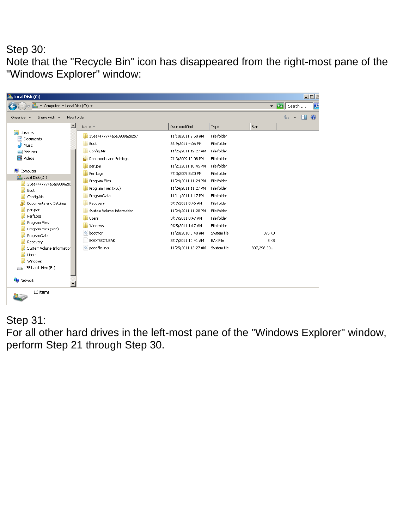#### Step 30: Note that the "Recycle Bin" icon has disappeared from the right-most pane of the "Windows Explorer" window:

| Local Disk (C:)                                                                |                             |                     |                 |                            | $\Box$                   |  |
|--------------------------------------------------------------------------------|-----------------------------|---------------------|-----------------|----------------------------|--------------------------|--|
| ▼ Computer ▼ Local Disk (C:) ▼<br>$\overline{\phantom{a}}$                     |                             |                     |                 | $\overline{G}$<br>Search L | $\overline{\phantom{a}}$ |  |
| New folder<br>Share with $\blacktriangledown$<br>Organize $\blacktriangledown$ |                             |                     |                 |                            | HE                       |  |
| $\blacktriangle$                                                               | Name +                      | Date modified       | Type            | Size                       |                          |  |
| Libraries<br>Documents                                                         | 23ea4477774a6a0939a2e2b7    | 11/10/2011 2:50 AM  | File folder     |                            |                          |  |
| Music                                                                          | Boot                        | 3/19/2011 4:06 PM   | File folder     |                            |                          |  |
| Pictures                                                                       | Config.Msi                  | 11/25/2011 12:27 AM | File folder     |                            |                          |  |
| <b>N</b> Videos                                                                | Documents and Settings<br>Ω | 7/13/2009 10:08 PM  | File folder     |                            |                          |  |
|                                                                                | par.par                     | 11/21/2011 10:45 PM | File folder     |                            |                          |  |
| I- Computer                                                                    | PerfLogs                    | 7/13/2009 8:20 PM   | File folder     |                            |                          |  |
| Local Disk (C:)<br>23ea4477774a6a0939a2e                                       | Program Files               | 11/24/2011 11:24 PM | File folder     |                            |                          |  |
| Boot                                                                           | Program Files (x86)         | 11/24/2011 11:27 PM | File folder     |                            |                          |  |
| Config.Msi                                                                     | ProgramData                 | 11/11/2011 1:17 PM  | File folder     |                            |                          |  |
| Documents and Settings                                                         | Recovery                    | 3/17/2011 8:46 AM   | File folder     |                            |                          |  |
| par.par                                                                        | System Volume Information   | 11/24/2011 11:28 PM | File folder     |                            |                          |  |
| PerfLogs                                                                       | Users                       | 3/17/2011 8:47 AM   | File folder     |                            |                          |  |
| Program Files                                                                  | Windows                     | 9/25/2011 1:17 AM   | File folder     |                            |                          |  |
| Program Files (x86)<br>ProgramData                                             | త<br>bootmgr                | 11/20/2010 5:40 AM  | System file     | 375 KB                     |                          |  |
| Recovery                                                                       | BOOTSECT.BAK                | 3/17/2011 10:41 AM  | <b>BAK File</b> | 8 KB                       |                          |  |
| System Volume Information                                                      | pagefile.sys                | 11/25/2011 12:27 AM | System file     | 307,298,30                 |                          |  |
| <b>Users</b>                                                                   |                             |                     |                 |                            |                          |  |
| Windows                                                                        |                             |                     |                 |                            |                          |  |
| $\Box$ USB hard drive (E:)                                                     |                             |                     |                 |                            |                          |  |
| <b>Executed</b> Network<br>▾                                                   |                             |                     |                 |                            |                          |  |
| 16 items                                                                       |                             |                     |                 |                            |                          |  |

#### Step 31:

For all other hard drives in the left-most pane of the "Windows Explorer" window, perform Step 21 through Step 30.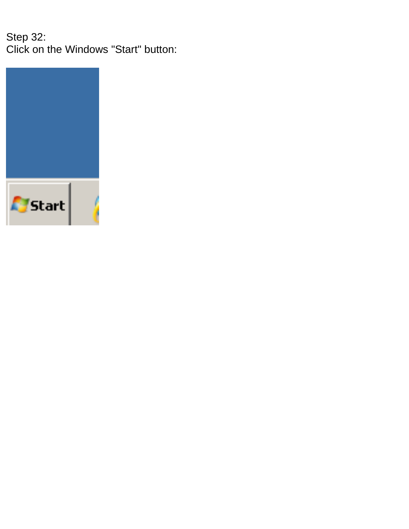Step 32: Click on the Windows "Start" button:

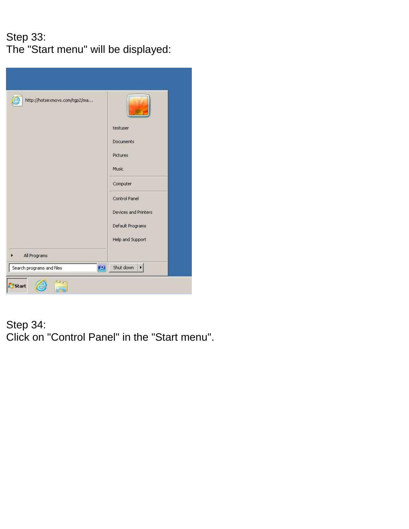# Step 33: The "Start menu" will be displayed:

| http://hotsexmovs.com/tgp2/ma   | testuser<br>Documents<br>Pictures |
|---------------------------------|-----------------------------------|
|                                 | Music                             |
|                                 | Computer                          |
|                                 | Control Panel                     |
|                                 | Devices and Printers              |
|                                 | Default Programs                  |
|                                 | Help and Support                  |
| All Programs                    |                                   |
| 9 <br>Search programs and files | Shut down<br>×                    |
| <b>Start</b>                    |                                   |

#### Step 34: Click on "Control Panel" in the "Start menu".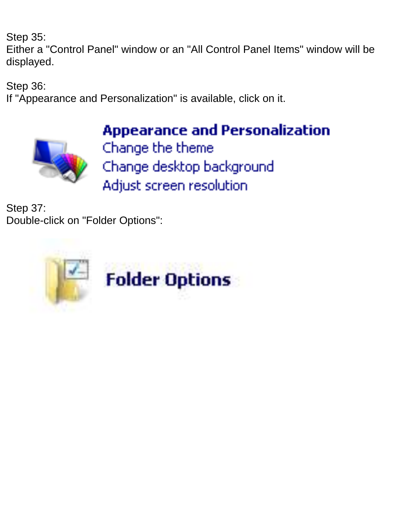Step 35:

Either a "Control Panel" window or an "All Control Panel Items" window will be displayed.

Step 36:

If "Appearance and Personalization" is available, click on it.



**Appearance and Personalization** Change the theme Change desktop background Adjust screen resolution

Step 37: Double-click on "Folder Options":

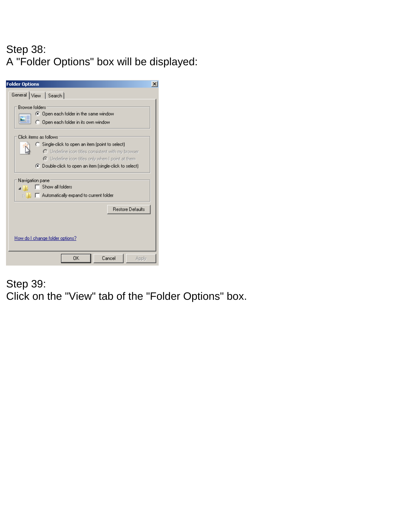#### Step 38: A "Folder Options" box will be displayed:

| <b>Folder Options</b>                                                                                                                                                                                                                                                                    |  |  |  |
|------------------------------------------------------------------------------------------------------------------------------------------------------------------------------------------------------------------------------------------------------------------------------------------|--|--|--|
| General View   Search                                                                                                                                                                                                                                                                    |  |  |  |
| <b>Browse folders</b><br>C Open each folder in the same window<br>C Open each folder in its own window                                                                                                                                                                                   |  |  |  |
| Click items as follows:<br>C Single-click to open an item (point to select)<br>O Underline icon titles consistent with my browser<br>C Underline icon titles only when I point at them<br>◯ Double-click to open an item (single-click to select)<br>Navigation pane<br>Show all folders |  |  |  |
| $\Box$ Automatically expand to current folder<br>$\triangleright$ 11                                                                                                                                                                                                                     |  |  |  |
| <b>Restore Defaults</b>                                                                                                                                                                                                                                                                  |  |  |  |
| How do I change folder options?                                                                                                                                                                                                                                                          |  |  |  |
| OΚ<br>Cancel<br>Apply                                                                                                                                                                                                                                                                    |  |  |  |

# Step 39: Click on the "View" tab of the "Folder Options" box.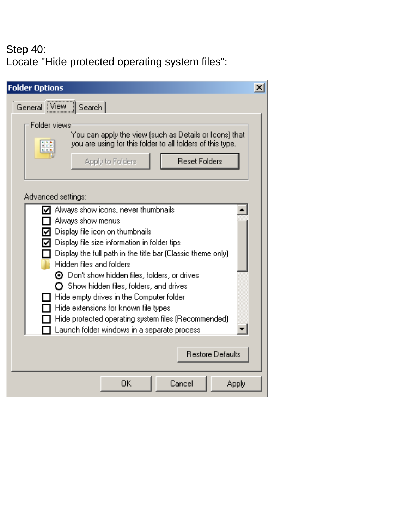#### Step 40: Locate "Hide protected operating system files":

| <b>Folder Options</b><br>x                                                                                                                                                                                                                                                                                                                                                                                                                                                                                                                    |
|-----------------------------------------------------------------------------------------------------------------------------------------------------------------------------------------------------------------------------------------------------------------------------------------------------------------------------------------------------------------------------------------------------------------------------------------------------------------------------------------------------------------------------------------------|
| General View Search                                                                                                                                                                                                                                                                                                                                                                                                                                                                                                                           |
| Folder views<br>You can apply the view (such as Details or Icons) that<br>you are using for this folder to all folders of this type.<br>내<br>6   10   11<br>Apply to Folders<br><b>Reset Folders</b>                                                                                                                                                                                                                                                                                                                                          |
| Advanced settings:                                                                                                                                                                                                                                                                                                                                                                                                                                                                                                                            |
| Always show icons, never thumbnails<br>Always show menus<br>Display file icon on thumbnails<br>Display file size information in folder tips<br>Display the full path in the title bar (Classic theme only)<br>Hidden files and folders<br>$\odot$ Don't show hidden files, folders, or drives<br>$\mathbf O$ Show hidden files, folders, and drives<br>Hide empty drives in the Computer folder<br>Hide extensions for known file types<br>Hide protected operating system files (Recommended)<br>Launch folder windows in a separate process |
| <b>Restore Defaults</b>                                                                                                                                                                                                                                                                                                                                                                                                                                                                                                                       |
| OΚ<br>Cancel<br>Apply                                                                                                                                                                                                                                                                                                                                                                                                                                                                                                                         |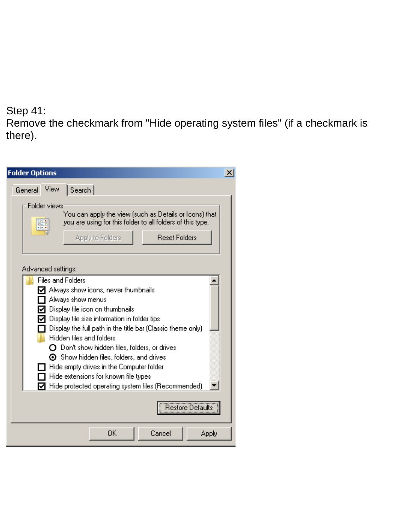#### Step 41:

Remove the checkmark from "Hide operating system files" (if a checkmark is there).

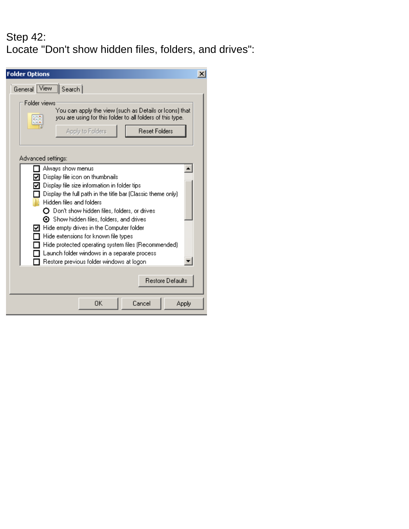## Step 42: Locate "Don't show hidden files, folders, and drives":

| <b>Folder Options</b>                                                                                                                                                                                                                                                                                                                                                                                                                                                                                                                           | × |
|-------------------------------------------------------------------------------------------------------------------------------------------------------------------------------------------------------------------------------------------------------------------------------------------------------------------------------------------------------------------------------------------------------------------------------------------------------------------------------------------------------------------------------------------------|---|
| General View Search                                                                                                                                                                                                                                                                                                                                                                                                                                                                                                                             |   |
| Folder views<br>You can apply the view (such as Details or Icons) that<br>you are using for this folder to all folders of this type.<br>₩<br>Apply to Folders<br><b>Reset Folders</b>                                                                                                                                                                                                                                                                                                                                                           |   |
| Advanced settings:                                                                                                                                                                                                                                                                                                                                                                                                                                                                                                                              |   |
| Always show menus<br>Display file icon on thumbnails<br>Display file size information in folder tips<br>Display the full path in the title bar (Classic theme only)<br>Hidden files and folders<br>$\Omega$ Don't show hidden files, folders, or drives<br>$\odot$ Show hidden files, folders, and drives<br>Hide empty drives in the Computer folder<br>Hide extensions for known file types<br>Hide protected operating system files (Recommended)<br>Launch folder windows in a separate process<br>Restore previous folder windows at logon |   |
| <b>Restore Defaults</b>                                                                                                                                                                                                                                                                                                                                                                                                                                                                                                                         |   |
| OΚ<br>Cancel<br>Apply                                                                                                                                                                                                                                                                                                                                                                                                                                                                                                                           |   |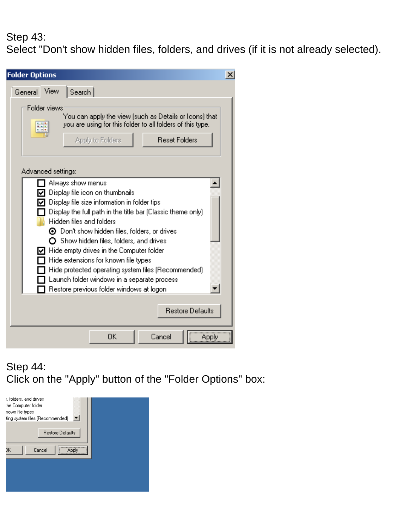#### Step 43: Select "Don't show hidden files, folders, and drives (if it is not already selected).

| <b>Folder Options</b><br>x                                                                                                                                                                                                                                                                                                                                                                                                                                                                                                                          |  |  |
|-----------------------------------------------------------------------------------------------------------------------------------------------------------------------------------------------------------------------------------------------------------------------------------------------------------------------------------------------------------------------------------------------------------------------------------------------------------------------------------------------------------------------------------------------------|--|--|
| View<br>Search  <br>General                                                                                                                                                                                                                                                                                                                                                                                                                                                                                                                         |  |  |
| Folder views<br>You can apply the view (such as Details or Icons) that<br>you are using for this folder to all folders of this type.<br><b>.</b><br><b>Reset Folders</b><br>Apply to Folders                                                                                                                                                                                                                                                                                                                                                        |  |  |
| Advanced settings:                                                                                                                                                                                                                                                                                                                                                                                                                                                                                                                                  |  |  |
| Always show menus<br>Display file icon on thumbnails<br>Display file size information in folder tips<br>Display the full path in the title bar (Classic theme only)<br>Hidden files and folders<br>$\odot$ Don't show hidden files, folders, or drives<br>$\mathbf O$ Show hidden files, folders, and drives<br>Hide empty drives in the Computer folder<br>Hide extensions for known file types<br>Hide protected operating system files (Recommended)<br>Launch folder windows in a separate process<br>Restore previous folder windows at logon. |  |  |
| <b>Restore Defaults</b>                                                                                                                                                                                                                                                                                                                                                                                                                                                                                                                             |  |  |
| Cancel<br>OΚ<br>Apply                                                                                                                                                                                                                                                                                                                                                                                                                                                                                                                               |  |  |

## Step 44: Click on the "Apply" button of the "Folder Options" box:

| s, folders, and drives<br>the Computer folder<br>nown file types<br>ting system files (Recommended) |  |
|-----------------------------------------------------------------------------------------------------|--|
| <b>Restore Defaults</b>                                                                             |  |
| Cancel<br>ЭK<br>Applu                                                                               |  |
|                                                                                                     |  |
|                                                                                                     |  |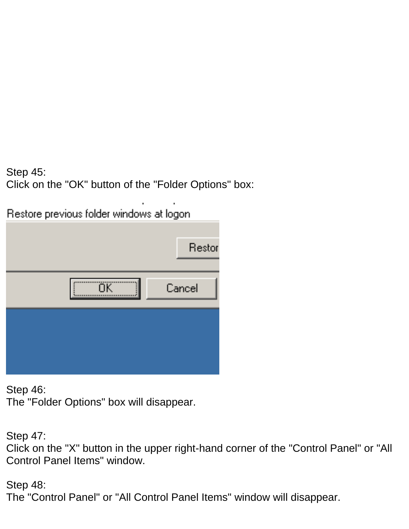Step 45: Click on the "OK" button of the "Folder Options" box:

Restore previous folder windows at logon.

|    | Restor |
|----|--------|
| ÖK | Cancel |
|    |        |
|    |        |

Step 46:

The "Folder Options" box will disappear.

Step 47: Click on the "X" button in the upper right-hand corner of the "Control Panel" or "All Control Panel Items" window.

Step 48: The "Control Panel" or "All Control Panel Items" window will disappear.